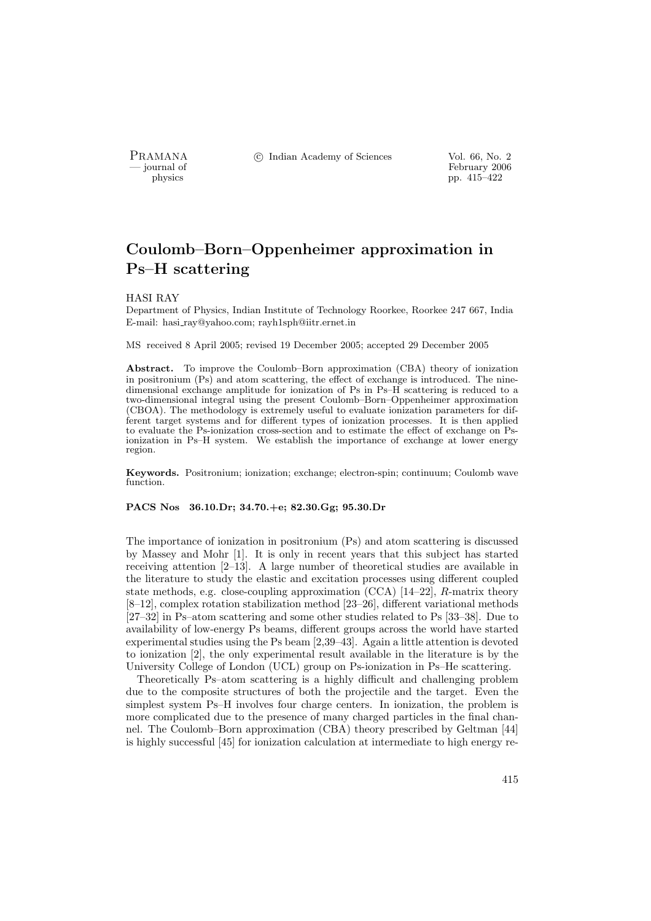PRAMANA °c Indian Academy of Sciences Vol. 66, No. 2

physics<br>
and the settlement of February 2006<br>
pp. 415–422 pp.  $415-422$ 

# Coulomb–Born–Oppenheimer approximation in Ps–H scattering

# HASI RAY

Department of Physics, Indian Institute of Technology Roorkee, Roorkee 247 667, India E-mail: hasi ray@yahoo.com; rayh1sph@iitr.ernet.in

MS received 8 April 2005; revised 19 December 2005; accepted 29 December 2005

Abstract. To improve the Coulomb–Born approximation (CBA) theory of ionization in positronium (Ps) and atom scattering, the effect of exchange is introduced. The ninedimensional exchange amplitude for ionization of Ps in Ps–H scattering is reduced to a two-dimensional integral using the present Coulomb–Born–Oppenheimer approximation (CBOA). The methodology is extremely useful to evaluate ionization parameters for different target systems and for different types of ionization processes. It is then applied to evaluate the Ps-ionization cross-section and to estimate the effect of exchange on Psionization in Ps–H system. We establish the importance of exchange at lower energy region.

Keywords. Positronium; ionization; exchange; electron-spin; continuum; Coulomb wave function.

# PACS Nos 36.10.Dr; 34.70.+e; 82.30.Gg; 95.30.Dr

The importance of ionization in positronium (Ps) and atom scattering is discussed by Massey and Mohr [1]. It is only in recent years that this subject has started receiving attention [2–13]. A large number of theoretical studies are available in the literature to study the elastic and excitation processes using different coupled state methods, e.g. close-coupling approximation (CCA) [14–22], R-matrix theory [8–12], complex rotation stabilization method [23–26], different variational methods [27–32] in Ps–atom scattering and some other studies related to Ps [33–38]. Due to availability of low-energy Ps beams, different groups across the world have started experimental studies using the Ps beam [2,39–43]. Again a little attention is devoted to ionization [2], the only experimental result available in the literature is by the University College of London (UCL) group on Ps-ionization in Ps–He scattering.

Theoretically Ps–atom scattering is a highly difficult and challenging problem due to the composite structures of both the projectile and the target. Even the simplest system Ps–H involves four charge centers. In ionization, the problem is more complicated due to the presence of many charged particles in the final channel. The Coulomb–Born approximation (CBA) theory prescribed by Geltman [44] is highly successful [45] for ionization calculation at intermediate to high energy re-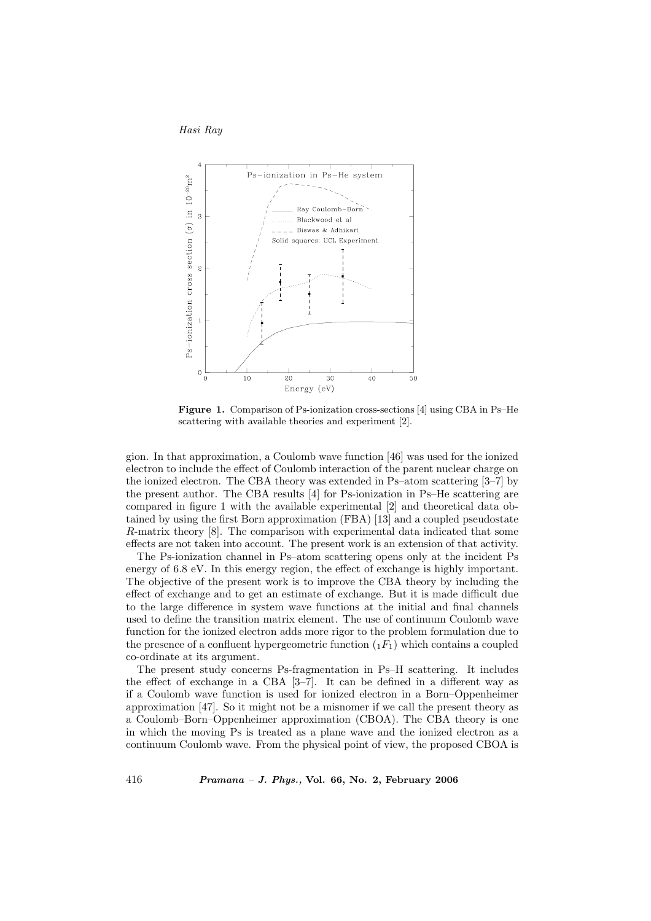



Figure 1. Comparison of Ps-ionization cross-sections [4] using CBA in Ps–He scattering with available theories and experiment [2].

gion. In that approximation, a Coulomb wave function [46] was used for the ionized electron to include the effect of Coulomb interaction of the parent nuclear charge on the ionized electron. The CBA theory was extended in Ps–atom scattering [3–7] by the present author. The CBA results [4] for Ps-ionization in Ps–He scattering are compared in figure 1 with the available experimental [2] and theoretical data obtained by using the first Born approximation (FBA) [13] and a coupled pseudostate R-matrix theory [8]. The comparison with experimental data indicated that some effects are not taken into account. The present work is an extension of that activity.

The Ps-ionization channel in Ps–atom scattering opens only at the incident Ps energy of 6.8 eV. In this energy region, the effect of exchange is highly important. The objective of the present work is to improve the CBA theory by including the effect of exchange and to get an estimate of exchange. But it is made difficult due to the large difference in system wave functions at the initial and final channels used to define the transition matrix element. The use of continuum Coulomb wave function for the ionized electron adds more rigor to the problem formulation due to the presence of a confluent hypergeometric function  $(F_1)$  which contains a coupled co-ordinate at its argument.

The present study concerns Ps-fragmentation in Ps–H scattering. It includes the effect of exchange in a CBA [3–7]. It can be defined in a different way as if a Coulomb wave function is used for ionized electron in a Born–Oppenheimer approximation [47]. So it might not be a misnomer if we call the present theory as a Coulomb–Born–Oppenheimer approximation (CBOA). The CBA theory is one in which the moving Ps is treated as a plane wave and the ionized electron as a continuum Coulomb wave. From the physical point of view, the proposed CBOA is

416 Pramana – J. Phys., Vol. 66, No. 2, February 2006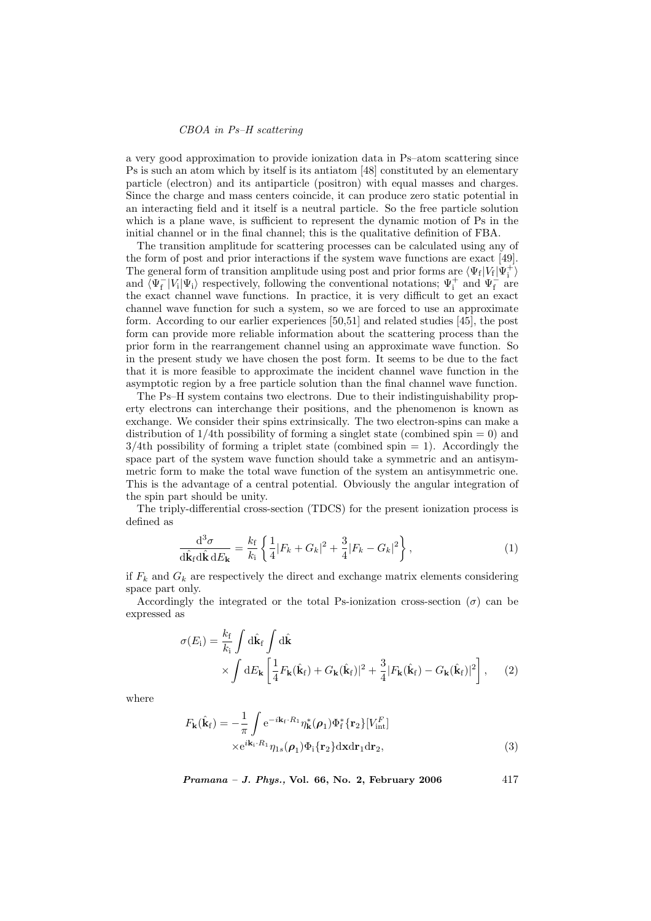### CBOA in Ps–H scattering

a very good approximation to provide ionization data in Ps–atom scattering since Ps is such an atom which by itself is its antiatom [48] constituted by an elementary particle (electron) and its antiparticle (positron) with equal masses and charges. Since the charge and mass centers coincide, it can produce zero static potential in an interacting field and it itself is a neutral particle. So the free particle solution which is a plane wave, is sufficient to represent the dynamic motion of Ps in the initial channel or in the final channel; this is the qualitative definition of FBA.

The transition amplitude for scattering processes can be calculated using any of the form of post and prior interactions if the system wave functions are exact [49]. The general form of transition amplitude using post and prior forms are  $\langle \Psi_f | V_f | \Psi_i^+ \rangle$ and  $\overline{\Psi}_{f}^{-} |V_{i}| \Psi_{i}$  respectively, following the conventional notations;  $\Psi_{i}^{+}$  and  $\Psi_{f}^{-}$  are the exact channel wave functions. In practice, it is very difficult to get an exact channel wave function for such a system, so we are forced to use an approximate form. According to our earlier experiences [50,51] and related studies [45], the post form can provide more reliable information about the scattering process than the prior form in the rearrangement channel using an approximate wave function. So in the present study we have chosen the post form. It seems to be due to the fact that it is more feasible to approximate the incident channel wave function in the asymptotic region by a free particle solution than the final channel wave function.

The Ps–H system contains two electrons. Due to their indistinguishability property electrons can interchange their positions, and the phenomenon is known as exchange. We consider their spins extrinsically. The two electron-spins can make a distribution of  $1/4$ th possibility of forming a singlet state (combined spin = 0) and  $3/4$ th possibility of forming a triplet state (combined spin  $= 1$ ). Accordingly the space part of the system wave function should take a symmetric and an antisymmetric form to make the total wave function of the system an antisymmetric one. This is the advantage of a central potential. Obviously the angular integration of the spin part should be unity.

The triply-differential cross-section (TDCS) for the present ionization process is defined as

$$
\frac{\mathrm{d}^3 \sigma}{\mathrm{d}\hat{\mathbf{k}}_f \mathrm{d}\hat{\mathbf{k}} \,\mathrm{d}E_\mathbf{k}} = \frac{k_f}{k_i} \left\{ \frac{1}{4} |F_k + G_k|^2 + \frac{3}{4} |F_k - G_k|^2 \right\},\tag{1}
$$

if  $F_k$  and  $G_k$  are respectively the direct and exchange matrix elements considering space part only.

Accordingly the integrated or the total Ps-ionization cross-section  $(\sigma)$  can be expressed as

$$
\sigma(E_{\rm i}) = \frac{k_{\rm f}}{k_{\rm i}} \int \mathrm{d}\hat{\mathbf{k}}_{\rm f} \int \mathrm{d}\hat{\mathbf{k}} \times \int \mathrm{d}\hat{\mathbf{k}} + \int \mathrm{d}\hat{\mathbf{k}} \times \int \mathrm{d}E_{\mathbf{k}} \left[ \frac{1}{4} F_{\mathbf{k}}(\hat{\mathbf{k}}_{\rm f}) + G_{\mathbf{k}}(\hat{\mathbf{k}}_{\rm f}) \right]^2 + \frac{3}{4} |F_{\mathbf{k}}(\hat{\mathbf{k}}_{\rm f}) - G_{\mathbf{k}}(\hat{\mathbf{k}}_{\rm f})|^2 \right], \quad (2)
$$

where

$$
F_{\mathbf{k}}(\hat{\mathbf{k}}_f) = -\frac{1}{\pi} \int e^{-i\mathbf{k}_f \cdot R_1} \eta_{\mathbf{k}}^* (\boldsymbol{\rho}_1) \Phi_f^* \{ \mathbf{r}_2 \} [V_{\text{int}}^F]
$$

$$
\times e^{i\mathbf{k}_1 \cdot R_1} \eta_{1s} (\boldsymbol{\rho}_1) \Phi_i \{ \mathbf{r}_2 \} d\mathbf{x} d\mathbf{r}_1 d\mathbf{r}_2,
$$
(3)

*Pramana – J. Phys.*, Vol. 66, No. 2, February 2006  $417$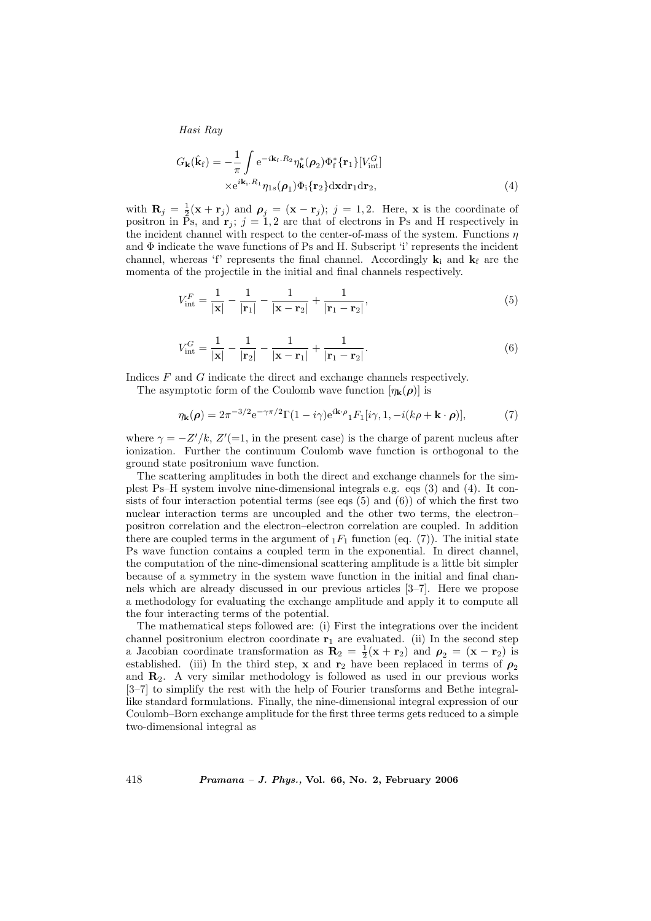Hasi Ray

$$
G_{\mathbf{k}}(\hat{\mathbf{k}}_{\mathrm{f}}) = -\frac{1}{\pi} \int e^{-i\mathbf{k}_{\mathrm{f}}.R_{2}} \eta_{\mathbf{k}}^{*}(\boldsymbol{\rho}_{2}) \Phi_{\mathrm{f}}^{*} \{\mathbf{r}_{1}\} [V_{\mathrm{int}}^{G}]
$$
  
 
$$
\times e^{i\mathbf{k}_{\mathrm{i}}.R_{1}} \eta_{1s}(\boldsymbol{\rho}_{1}) \Phi_{\mathrm{i}} \{\mathbf{r}_{2}\} \mathrm{d} \mathbf{x} \mathrm{d} \mathbf{r}_{1} \mathrm{d} \mathbf{r}_{2}, \qquad (4)
$$

with  $\mathbf{R}_j = \frac{1}{2}(\mathbf{x} + \mathbf{r}_j)$  and  $\rho_j = (\mathbf{x} - \mathbf{r}_j); j = 1, 2$ . Here, x is the coordinate of positron in  $\tilde{P}_s$ , and  $\mathbf{r}_i$ ;  $j = 1, 2$  are that of electrons in Ps and H respectively in the incident channel with respect to the center-of-mass of the system. Functions  $\eta$ and  $\Phi$  indicate the wave functions of Ps and H. Subscript 'i' represents the incident channel, whereas 'f' represents the final channel. Accordingly  $\mathbf{k}_i$  and  $\mathbf{k}_f$  are the momenta of the projectile in the initial and final channels respectively.

$$
V_{\text{int}}^{F} = \frac{1}{|\mathbf{x}|} - \frac{1}{|\mathbf{r}_{1}|} - \frac{1}{|\mathbf{x} - \mathbf{r}_{2}|} + \frac{1}{|\mathbf{r}_{1} - \mathbf{r}_{2}|},
$$
(5)

$$
V_{\text{int}}^{G} = \frac{1}{|\mathbf{x}|} - \frac{1}{|\mathbf{r}_{2}|} - \frac{1}{|\mathbf{x} - \mathbf{r}_{1}|} + \frac{1}{|\mathbf{r}_{1} - \mathbf{r}_{2}|}.
$$
 (6)

Indices F and G indicate the direct and exchange channels respectively.

The asymptotic form of the Coulomb wave function  $[\eta_{\bf k}(\rho)]$  is

$$
\eta_{\mathbf{k}}(\boldsymbol{\rho}) = 2\pi^{-3/2} e^{-\gamma \pi/2} \Gamma(1 - i\gamma) e^{i\mathbf{k}\cdot\boldsymbol{\rho}} {}_{1}F_{1}[i\gamma, 1, -i(k\rho + \mathbf{k}\cdot\boldsymbol{\rho})],\tag{7}
$$

where  $\gamma = -Z'/k$ ,  $Z'$ (=1, in the present case) is the charge of parent nucleus after ionization. Further the continuum Coulomb wave function is orthogonal to the ground state positronium wave function.

The scattering amplitudes in both the direct and exchange channels for the simplest Ps–H system involve nine-dimensional integrals e.g. eqs (3) and (4). It consists of four interaction potential terms (see eqs  $(5)$  and  $(6)$ ) of which the first two nuclear interaction terms are uncoupled and the other two terms, the electron– positron correlation and the electron–electron correlation are coupled. In addition there are coupled terms in the argument of  $_1F_1$  function (eq. (7)). The initial state Ps wave function contains a coupled term in the exponential. In direct channel, the computation of the nine-dimensional scattering amplitude is a little bit simpler because of a symmetry in the system wave function in the initial and final channels which are already discussed in our previous articles [3–7]. Here we propose a methodology for evaluating the exchange amplitude and apply it to compute all the four interacting terms of the potential.

The mathematical steps followed are: (i) First the integrations over the incident channel positronium electron coordinate  $\mathbf{r}_1$  are evaluated. (ii) In the second step a Jacobian coordinate transformation as  $\mathbf{R}_2 = \frac{1}{2}(\mathbf{x} + \mathbf{r}_2)$  and  $\rho_2 = (\mathbf{x} - \mathbf{r}_2)$  is established. (iii) In the third step, x and  $\mathbf{r}_2$  have been replaced in terms of  $\rho_2$ and  $\mathbf{R}_2$ . A very similar methodology is followed as used in our previous works [3–7] to simplify the rest with the help of Fourier transforms and Bethe integrallike standard formulations. Finally, the nine-dimensional integral expression of our Coulomb–Born exchange amplitude for the first three terms gets reduced to a simple two-dimensional integral as

418 Pramana – J. Phys., Vol. 66, No. 2, February 2006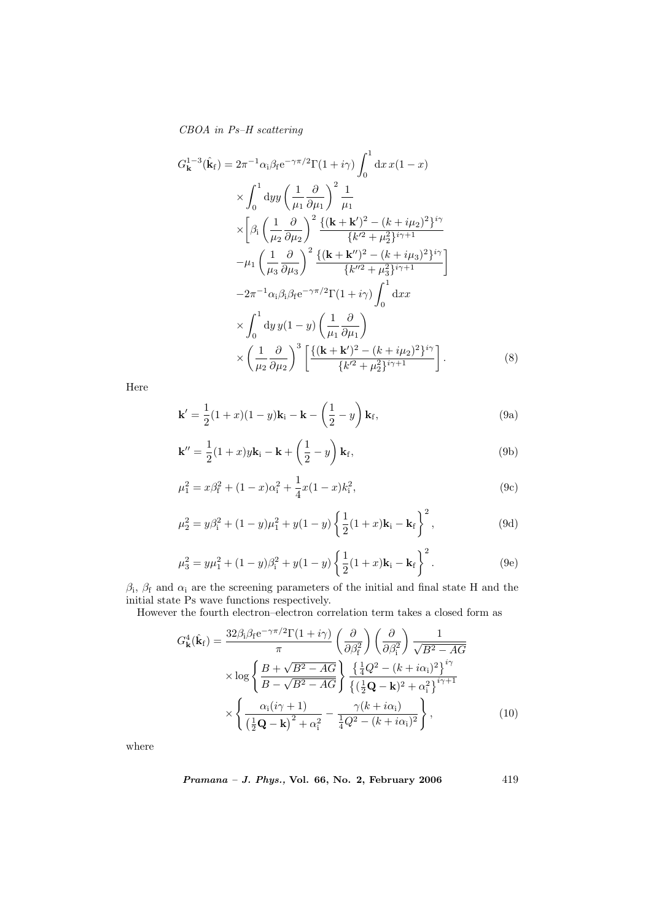CBOA in Ps–H scattering

$$
G_{\mathbf{k}}^{1-3}(\hat{\mathbf{k}}_{\mathbf{f}}) = 2\pi^{-1}\alpha_{\mathbf{i}}\beta_{\mathbf{f}}e^{-\gamma\pi/2}\Gamma(1+i\gamma)\int_{0}^{1} dx \,x(1-x) \times \int_{0}^{1} dy \,y \left(\frac{1}{\mu_{1}}\frac{\partial}{\partial\mu_{1}}\right)^{2}\frac{1}{\mu_{1}} \times \left[\beta_{\mathbf{i}}\left(\frac{1}{\mu_{2}}\frac{\partial}{\partial\mu_{2}}\right)^{2}\frac{\{( \mathbf{k}+\mathbf{k}')^{2}-(k+i\mu_{2})^{2}\}^{i\gamma}}{\{k'^{2}+\mu_{2}^{2}\}^{i\gamma+1}} \n-\mu_{1}\left(\frac{1}{\mu_{3}}\frac{\partial}{\partial\mu_{3}}\right)^{2}\frac{\{( \mathbf{k}+\mathbf{k}'')^{2}-(k+i\mu_{3})^{2}\}^{i\gamma}}{\{k''^{2}+\mu_{3}^{2}\}^{i\gamma+1}} \right] \n-2\pi^{-1}\alpha_{\mathbf{i}}\beta_{\mathbf{i}}\beta_{\mathbf{f}}e^{-\gamma\pi/2}\Gamma(1+i\gamma)\int_{0}^{1} dx x \times \int_{0}^{1} dy \,y(1-y) \left(\frac{1}{\mu_{1}}\frac{\partial}{\partial\mu_{1}}\right) \times \left(\frac{1}{\mu_{2}}\frac{\partial}{\partial\mu_{2}}\right)^{3}\left[\frac{\{( \mathbf{k}+\mathbf{k}' )^{2}-(k+i\mu_{2})^{2}\}^{i\gamma}}{\{k'^{2}+\mu_{2}^{2}\}^{i\gamma+1}}\right].
$$
\n(8)

Here

$$
\mathbf{k}' = \frac{1}{2}(1+x)(1-y)\mathbf{k}_i - \mathbf{k} - \left(\frac{1}{2} - y\right)\mathbf{k}_f,
$$
\n(9a)

$$
\mathbf{k}'' = \frac{1}{2}(1+x)y\mathbf{k}_i - \mathbf{k} + \left(\frac{1}{2} - y\right)\mathbf{k}_f,
$$
\n(9b)

$$
\mu_1^2 = x\beta_{\rm f}^2 + (1-x)\alpha_{\rm i}^2 + \frac{1}{4}x(1-x)k_{\rm i}^2,\tag{9c}
$$

$$
\mu_2^2 = y\beta_1^2 + (1 - y)\mu_1^2 + y(1 - y)\left\{\frac{1}{2}(1 + x)\mathbf{k}_i - \mathbf{k}_f\right\}^2, \tag{9d}
$$

$$
\mu_3^2 = y\mu_1^2 + (1 - y)\beta_i^2 + y(1 - y)\left\{\frac{1}{2}(1 + x)\mathbf{k}_i - \mathbf{k}_f\right\}^2.
$$
 (9e)

 $\beta_i$ ,  $\beta_f$  and  $\alpha_i$  are the screening parameters of the initial and final state H and the initial state Ps wave functions respectively.

However the fourth electron–electron correlation term takes a closed form as

$$
G_{\mathbf{k}}^{4}(\hat{\mathbf{k}}_{\mathrm{f}}) = \frac{32\beta_{\mathrm{i}}\beta_{\mathrm{f}}\mathrm{e}^{-\gamma\pi/2}\Gamma(1+i\gamma)}{\pi} \left(\frac{\partial}{\partial\beta_{\mathrm{i}}^{2}}\right) \left(\frac{\partial}{\partial\beta_{\mathrm{i}}^{2}}\right) \frac{1}{\sqrt{B^{2}-AG}}
$$

$$
\times \log\left\{\frac{B+\sqrt{B^{2}-AG}}{B-\sqrt{B^{2}-AG}}\right\} \frac{\left\{\frac{1}{4}Q^{2}-(k+i\alpha_{\mathrm{i}})^{2}\right\}^{i\gamma}}{\left\{\left(\frac{1}{2}\mathbf{Q}-\mathbf{k}\right)^{2}+\alpha_{\mathrm{i}}^{2}\right\}^{i\gamma+1}}
$$

$$
\times\left\{\frac{\alpha_{\mathrm{i}}(i\gamma+1)}{\left(\frac{1}{2}\mathbf{Q}-\mathbf{k}\right)^{2}+\alpha_{\mathrm{i}}^{2}} - \frac{\gamma(k+i\alpha_{\mathrm{i}})}{\frac{1}{4}Q^{2}-(k+i\alpha_{\mathrm{i}})^{2}}\right\},\tag{10}
$$

where

$$
Pramana - J. Phys., Vol. 66, No. 2, February 2006 \qquad \qquad 419
$$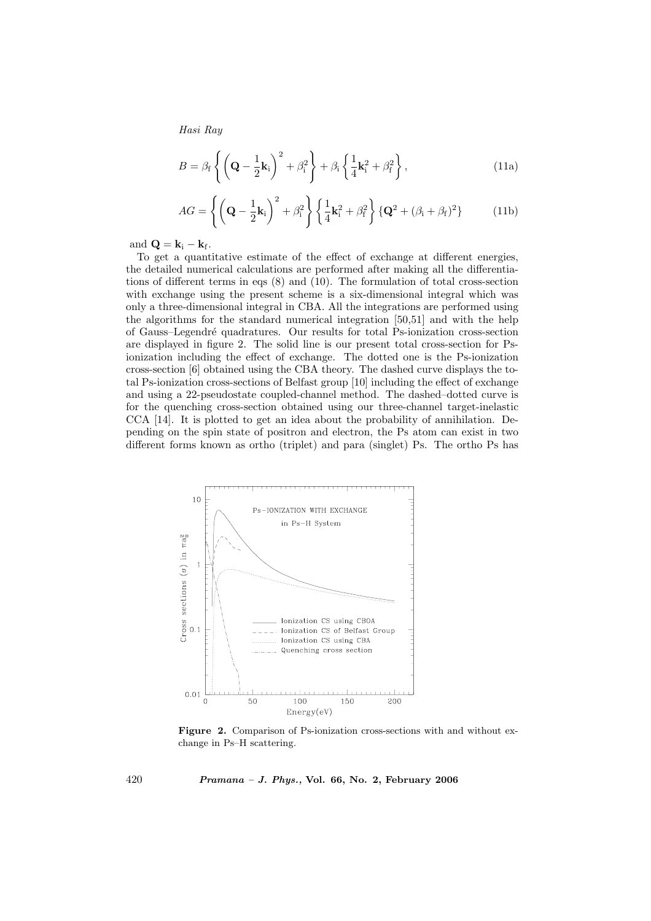Hasi Ray

$$
B = \beta_{\rm f} \left\{ \left( \mathbf{Q} - \frac{1}{2} \mathbf{k}_{\rm i} \right)^2 + \beta_{\rm i}^2 \right\} + \beta_{\rm i} \left\{ \frac{1}{4} \mathbf{k}_{\rm i}^2 + \beta_{\rm f}^2 \right\},\tag{11a}
$$

$$
AG = \left\{ \left( \mathbf{Q} - \frac{1}{2} \mathbf{k}_i \right)^2 + \beta_i^2 \right\} \left\{ \frac{1}{4} \mathbf{k}_i^2 + \beta_f^2 \right\} \left\{ \mathbf{Q}^2 + (\beta_i + \beta_f)^2 \right\} \tag{11b}
$$

and  $\mathbf{Q} = \mathbf{k}_i - \mathbf{k}_f$ .

To get a quantitative estimate of the effect of exchange at different energies, the detailed numerical calculations are performed after making all the differentiations of different terms in eqs (8) and (10). The formulation of total cross-section with exchange using the present scheme is a six-dimensional integral which was only a three-dimensional integral in CBA. All the integrations are performed using the algorithms for the standard numerical integration [50,51] and with the help of Gauss–Legendr´e quadratures. Our results for total Ps-ionization cross-section are displayed in figure 2. The solid line is our present total cross-section for Psionization including the effect of exchange. The dotted one is the Ps-ionization cross-section [6] obtained using the CBA theory. The dashed curve displays the total Ps-ionization cross-sections of Belfast group [10] including the effect of exchange and using a 22-pseudostate coupled-channel method. The dashed–dotted curve is for the quenching cross-section obtained using our three-channel target-inelastic CCA [14]. It is plotted to get an idea about the probability of annihilation. Depending on the spin state of positron and electron, the Ps atom can exist in two different forms known as ortho (triplet) and para (singlet) Ps. The ortho Ps has



Figure 2. Comparison of Ps-ionization cross-sections with and without exchange in Ps–H scattering.

420 Pramana – J. Phys., Vol. 66, No. 2, February 2006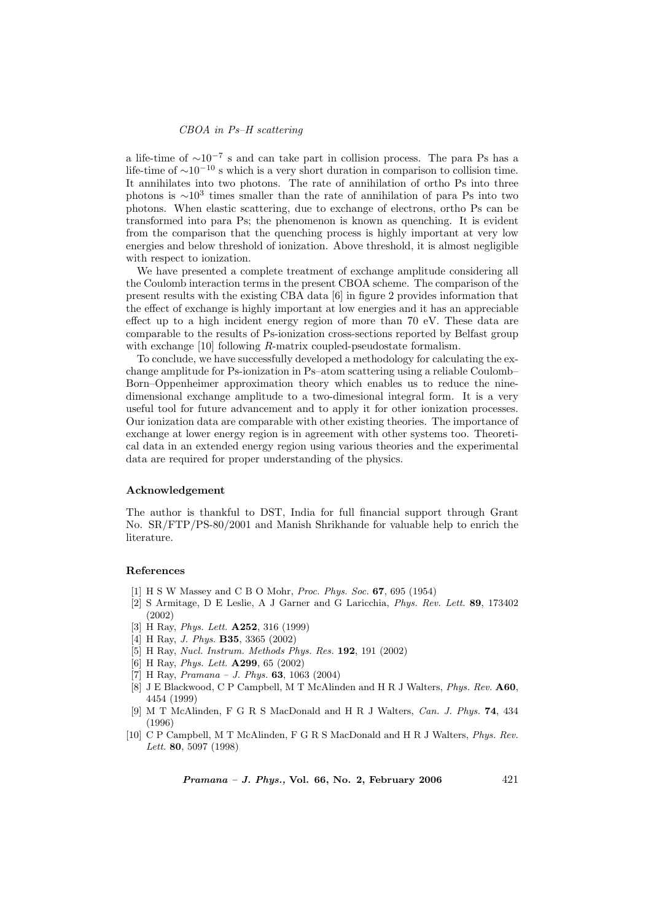### CBOA in Ps–H scattering

a life-time of  $\sim 10^{-7}$  s and can take part in collision process. The para Ps has a life-time of  $\sim 10^{-10}$  s which is a very short duration in comparison to collision time. It annihilates into two photons. The rate of annihilation of ortho Ps into three photons is  $\sim 10^3$  times smaller than the rate of annihilation of para Ps into two photons. When elastic scattering, due to exchange of electrons, ortho Ps can be transformed into para Ps; the phenomenon is known as quenching. It is evident from the comparison that the quenching process is highly important at very low energies and below threshold of ionization. Above threshold, it is almost negligible with respect to ionization.

We have presented a complete treatment of exchange amplitude considering all the Coulomb interaction terms in the present CBOA scheme. The comparison of the present results with the existing CBA data [6] in figure 2 provides information that the effect of exchange is highly important at low energies and it has an appreciable effect up to a high incident energy region of more than 70 eV. These data are comparable to the results of Ps-ionization cross-sections reported by Belfast group with exchange [10] following R-matrix coupled-pseudostate formalism.

To conclude, we have successfully developed a methodology for calculating the exchange amplitude for Ps-ionization in Ps–atom scattering using a reliable Coulomb– Born–Oppenheimer approximation theory which enables us to reduce the ninedimensional exchange amplitude to a two-dimesional integral form. It is a very useful tool for future advancement and to apply it for other ionization processes. Our ionization data are comparable with other existing theories. The importance of exchange at lower energy region is in agreement with other systems too. Theoretical data in an extended energy region using various theories and the experimental data are required for proper understanding of the physics.

#### Acknowledgement

The author is thankful to DST, India for full financial support through Grant No. SR/FTP/PS-80/2001 and Manish Shrikhande for valuable help to enrich the literature.

#### References

- [1] H S W Massey and C B O Mohr, Proc. Phys. Soc. 67, 695 (1954)
- [2] S Armitage, D E Leslie, A J Garner and G Laricchia, Phys. Rev. Lett. 89, 173402 (2002)
- [3] H Ray, Phys. Lett. A252, 316 (1999)
- [4] H Ray, J. Phys. B35, 3365 (2002)
- [5] H Ray, Nucl. Instrum. Methods Phys. Res. 192, 191 (2002)
- [6] H Ray, Phys. Lett. A299, 65 (2002)
- [7] H Ray,  $Pramana J$ . Phys. **63**, 1063 (2004)
- [8] J E Blackwood, C P Campbell, M T McAlinden and H R J Walters, Phys. Rev. A60, 4454 (1999)
- [9] M T McAlinden, F G R S MacDonald and H R J Walters, Can. J. Phys. 74, 434 (1996)
- [10] C P Campbell, M T McAlinden, F G R S MacDonald and H R J Walters, Phys. Rev. Lett. 80, 5097 (1998)

*Pramana – J. Phys.*, Vol. 66, No. 2, February 2006  $421$